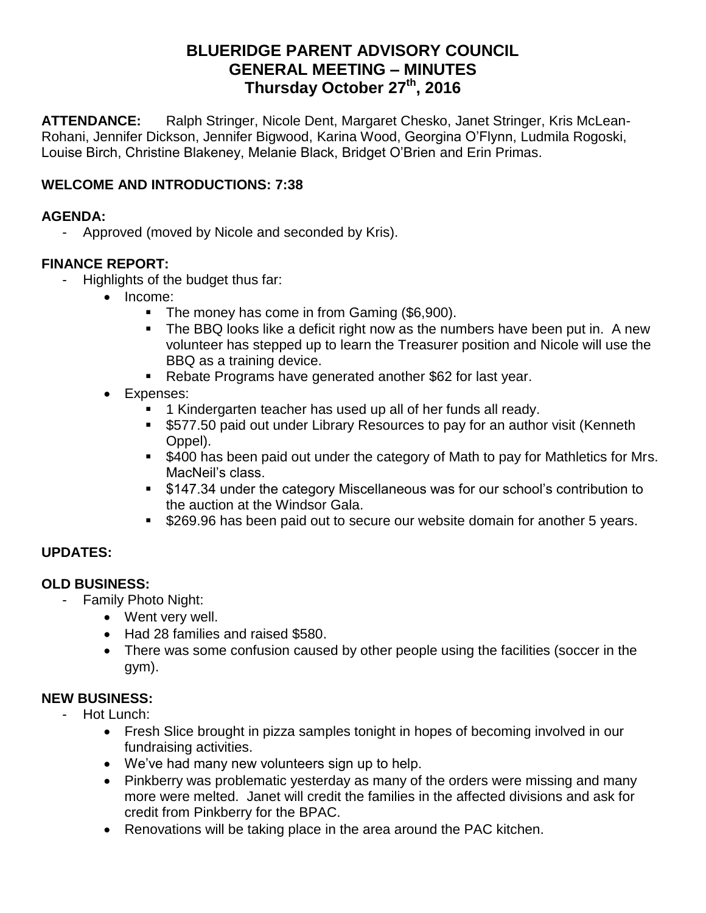# **BLUERIDGE PARENT ADVISORY COUNCIL GENERAL MEETING – MINUTES Thursday October 27 th, 2016**

**ATTENDANCE:** Ralph Stringer, Nicole Dent, Margaret Chesko, Janet Stringer, Kris McLean-Rohani, Jennifer Dickson, Jennifer Bigwood, Karina Wood, Georgina O'Flynn, Ludmila Rogoski, Louise Birch, Christine Blakeney, Melanie Black, Bridget O'Brien and Erin Primas.

## **WELCOME AND INTRODUCTIONS: 7:38**

#### **AGENDA:**

- Approved (moved by Nicole and seconded by Kris).

### **FINANCE REPORT:**

- Highlights of the budget thus far:
	- Income:
		- The money has come in from Gaming (\$6,900).
		- The BBQ looks like a deficit right now as the numbers have been put in. A new volunteer has stepped up to learn the Treasurer position and Nicole will use the BBQ as a training device.
		- Rebate Programs have generated another \$62 for last year.
	- Expenses:
		- **1** Kindergarten teacher has used up all of her funds all ready.
		- \$577.50 paid out under Library Resources to pay for an author visit (Kenneth Oppel).
		- $\overline{\phantom{a}}$  \$400 has been paid out under the category of Math to pay for Mathletics for Mrs. MacNeil's class.
		- \$147.34 under the category Miscellaneous was for our school's contribution to the auction at the Windsor Gala.
		- **5269.96 has been paid out to secure our website domain for another 5 years.**

## **UPDATES:**

#### **OLD BUSINESS:**

- Family Photo Night:
	- Went very well.
	- Had 28 families and raised \$580.
	- There was some confusion caused by other people using the facilities (soccer in the gym).

## **NEW BUSINESS:**

- Hot Lunch:
	- Fresh Slice brought in pizza samples tonight in hopes of becoming involved in our fundraising activities.
	- We've had many new volunteers sign up to help.
	- Pinkberry was problematic yesterday as many of the orders were missing and many more were melted. Janet will credit the families in the affected divisions and ask for credit from Pinkberry for the BPAC.
	- Renovations will be taking place in the area around the PAC kitchen.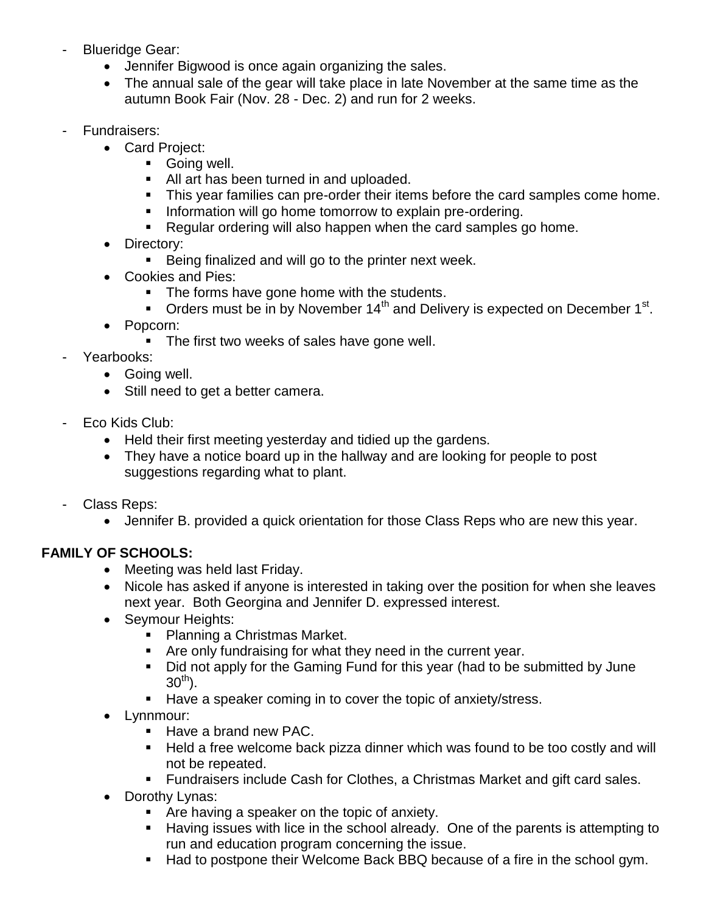- Blueridge Gear:
	- Jennifer Bigwood is once again organizing the sales.
	- The annual sale of the gear will take place in late November at the same time as the autumn Book Fair (Nov. 28 - Dec. 2) and run for 2 weeks.
- Fundraisers:
	- Card Project:
		- **Going well.**
		- All art has been turned in and uploaded.
		- **This year families can pre-order their items before the card samples come home.**
		- **Information will go home tomorrow to explain pre-ordering.**
		- **Requiar ordering will also happen when the card samples go home.**
	- Directory:
		- Being finalized and will go to the printer next week.
	- Cookies and Pies:
		- The forms have gone home with the students.
		- $\blacksquare$  Orders must be in by November 14<sup>th</sup> and Delivery is expected on December 1<sup>st</sup>.
	- Popcorn:
		- The first two weeks of sales have gone well.
- Yearbooks:
	- Going well.
	- Still need to get a better camera.
- Eco Kids Club:
	- Held their first meeting yesterday and tidied up the gardens.
	- They have a notice board up in the hallway and are looking for people to post suggestions regarding what to plant.
- Class Reps:
	- Jennifer B. provided a quick orientation for those Class Reps who are new this year.

# **FAMILY OF SCHOOLS:**

- Meeting was held last Friday.
- Nicole has asked if anyone is interested in taking over the position for when she leaves next year. Both Georgina and Jennifer D. expressed interest.
- Seymour Heights:
	- Planning a Christmas Market.
	- Are only fundraising for what they need in the current year.
	- Did not apply for the Gaming Fund for this year (had to be submitted by June  $30^{th}$ ).
	- Have a speaker coming in to cover the topic of anxiety/stress.
- Lynnmour:
	- $\blacksquare$  Have a brand new PAC.
	- Held a free welcome back pizza dinner which was found to be too costly and will not be repeated.
	- Fundraisers include Cash for Clothes, a Christmas Market and gift card sales.
- Dorothy Lynas:
	- Are having a speaker on the topic of anxiety.
	- Having issues with lice in the school already. One of the parents is attempting to run and education program concerning the issue.
	- Had to postpone their Welcome Back BBQ because of a fire in the school gym.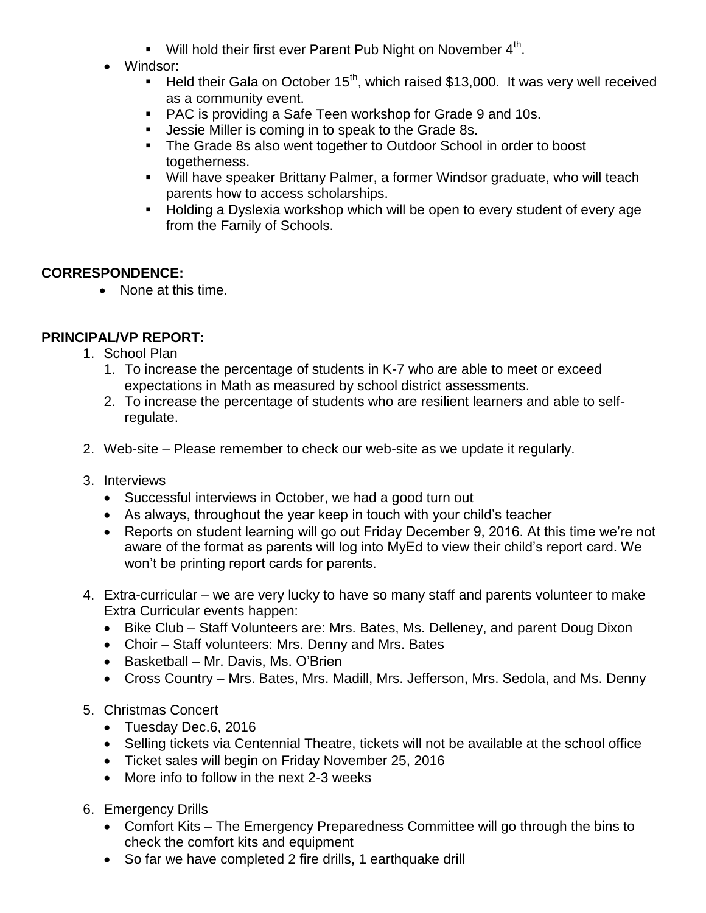- $\blacksquare$  Will hold their first ever Parent Pub Night on November  $4^{\text{th}}$ .
- Windsor:
	- Held their Gala on October 15<sup>th</sup>, which raised \$13,000. It was very well received as a community event.
	- PAC is providing a Safe Teen workshop for Grade 9 and 10s.
	- **Jessie Miller is coming in to speak to the Grade 8s.**
	- The Grade 8s also went together to Outdoor School in order to boost togetherness.
	- Will have speaker Brittany Palmer, a former Windsor graduate, who will teach parents how to access scholarships.
	- **Holding a Dyslexia workshop which will be open to every student of every age** from the Family of Schools.

# **CORRESPONDENCE:**

• None at this time.

# **PRINCIPAL/VP REPORT:**

- 1. School Plan
	- 1. To increase the percentage of students in K-7 who are able to meet or exceed expectations in Math as measured by school district assessments.
	- 2. To increase the percentage of students who are resilient learners and able to selfregulate.
- 2. Web-site Please remember to check our web-site as we update it regularly.
- 3. Interviews
	- Successful interviews in October, we had a good turn out
	- As always, throughout the year keep in touch with your child's teacher
	- Reports on student learning will go out Friday December 9, 2016. At this time we're not aware of the format as parents will log into MyEd to view their child's report card. We won't be printing report cards for parents.
- 4. Extra-curricular we are very lucky to have so many staff and parents volunteer to make Extra Curricular events happen:
	- Bike Club Staff Volunteers are: Mrs. Bates, Ms. Delleney, and parent Doug Dixon
	- Choir Staff volunteers: Mrs. Denny and Mrs. Bates
	- $\bullet$  Basketball Mr. Davis, Ms. O'Brien
	- Cross Country Mrs. Bates, Mrs. Madill, Mrs. Jefferson, Mrs. Sedola, and Ms. Denny
- 5. Christmas Concert
	- Tuesday Dec.6, 2016
	- Selling tickets via Centennial Theatre, tickets will not be available at the school office
	- Ticket sales will begin on Friday November 25, 2016
	- More info to follow in the next 2-3 weeks
- 6. Emergency Drills
	- Comfort Kits The Emergency Preparedness Committee will go through the bins to check the comfort kits and equipment
	- So far we have completed 2 fire drills, 1 earthquake drill